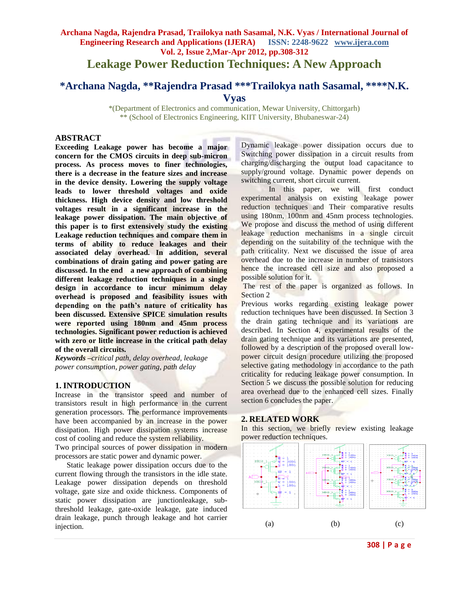## **Archana Nagda, Rajendra Prasad, Trailokya nath Sasamal, N.K. Vyas / International Journal of Engineering Research and Applications (IJERA) ISSN: 2248-9622 www.ijera.com Vol. 2, Issue 2,Mar-Apr 2012, pp.308-312 Leakage Power Reduction Techniques: A New Approach**

# **\*Archana Nagda, \*\*Rajendra Prasad \*\*\*Trailokya nath Sasamal, \*\*\*\*N.K. Vyas**

\*(Department of Electronics and communication, Mewar University, Chittorgarh) \*\* (School of Electronics Engineering, KIIT University, Bhubaneswar-24)

### **ABSTRACT**

**Exceeding Leakage power has become a major concern for the CMOS circuits in deep sub-micron process. As process moves to finer technologies, there is a decrease in the feature sizes and increase in the device density. Lowering the supply voltage leads to lower threshold voltages and oxide thickness. High device density and low threshold voltages result in a significant increase in the leakage power dissipation. The main objective of this paper is to first extensively study the existing Leakage reduction techniques and compare them in terms of ability to reduce leakages and their associated delay overhead. In addition, several combinations of drain gating and power gating are discussed. In the end a new approach of combining different leakage reduction techniques in a single design in accordance to incur minimum delay overhead is proposed and feasibility issues with depending on the path's nature of criticality has been discussed. Extensive SPICE simulation results were reported using 180nm and 45nm process technologies. Significant power reduction is achieved with zero or little increase in the critical path delay of the overall circuits.**

*Keywords* **–***critical path, delay overhead, leakage power consumption, power gating, path delay*

### **1. INTRODUCTION**

Increase in the transistor speed and number of transistors result in high performance in the current generation processors. The performance improvements have been accompanied by an increase in the power dissipation. High power dissipation systems increase cost of cooling and reduce the system reliability.

Two principal sources of power dissipation in modern processors are static power and dynamic power.

 Static leakage power dissipation occurs due to the current flowing through the transistors in the idle state. Leakage power dissipation depends on threshold voltage, gate size and oxide thickness. Components of static power dissipation are junctionleakage, subthreshold leakage, gate-oxide leakage, gate induced drain leakage, punch through leakage and hot carrier injection.

Dynamic leakage power dissipation occurs due to Switching power dissipation in a circuit results from charging/discharging the output load capacitance to supply/ground voltage. Dynamic power depends on switching current, short circuit current.

In this paper, we will first conduct experimental analysis on existing leakage power reduction techniques and Their comparative results using 180nm, 100nm and 45nm process technologies. We propose and discuss the method of using different leakage reduction mechanisms in a single circuit depending on the suitability of the technique with the path criticality. Next we discussed the issue of area overhead due to the increase in number of transistors hence the increased cell size and also proposed a possible solution for it.

The rest of the paper is organized as follows. In Section 2

Previous works regarding existing leakage power reduction techniques have been discussed. In Section 3 the drain gating technique and its variations are described. In Section 4, experimental results of the drain gating technique and its variations are presented, followed by a description of the proposed overall lowpower circuit design procedure utilizing the proposed selective gating methodology in accordance to the path criticality for reducing leakage power consumption. In Section 5 we discuss the possible solution for reducing area overhead due to the enhanced cell sizes. Finally section 6 concludes the paper.

### **2. RELATED WORK**

In this section, we briefly review existing leakage power reduction techniques.



**308 | P a g e**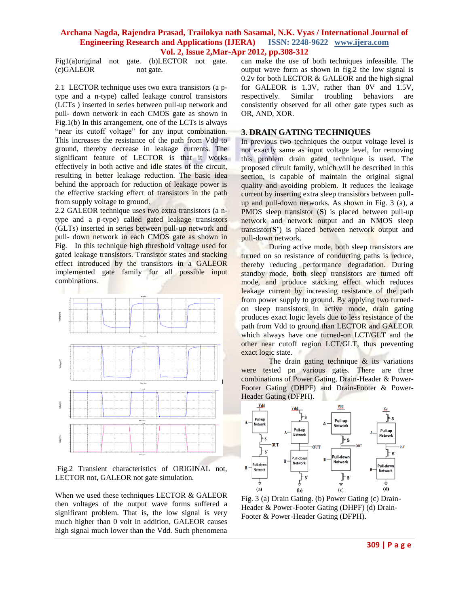### **Archana Nagda, Rajendra Prasad, Trailokya nath Sasamal, N.K. Vyas / International Journal of Engineering Research and Applications (IJERA) Vol. 2, Issue 2,Mar-Apr 2012, pp.308-312**

Fig1(a)original not gate. (b)LECTOR not gate. (c)GALEOR not gate.

2.1 LECTOR technique uses two extra transistors (a ptype and a n-type) called leakage control transistors (LCTs ) inserted in series between pull-up network and pull- down network in each CMOS gate as shown in Fig.1(b) In this arrangement, one of the LCTs is always "near its cutoff voltage" for any input combination. This increases the resistance of the path from Vdd to ground, thereby decrease in leakage currents. The significant feature of LECTOR is that it works effectively in both active and idle states of the circuit, resulting in better leakage reduction. The basic idea behind the approach for reduction of leakage power is the effective stacking effect of transistors in the path from supply voltage to ground.

2.2 GALEOR technique uses two extra transistors (a ntype and a p-type) called gated leakage transistors (GLTs) inserted in series between pull-up network and pull- down network in each CMOS gate as shown in Fig. In this technique high threshold voltage used for gated leakage transistors. Transistor states and stacking effect introduced by the transistors in a GALEOR implemented gate family for all possible input combinations.



Fig.2 Transient characteristics of ORIGINAL not, LECTOR not, GALEOR not gate simulation.

When we used these techniques LECTOR & GALEOR then voltages of the output wave forms suffered a significant problem. That is, the low signal is very much higher than 0 volt in addition, GALEOR causes high signal much lower than the Vdd. Such phenomena

can make the use of both techniques infeasible. The output wave form as shown in fig.2 the low signal is  $0.2v$  for both LECTOR & GALEOR and the high signal for GALEOR is 1.3V, rather than 0V and 1.5V, respectively. Similar troubling behaviors are consistently observed for all other gate types such as OR, AND, XOR.

### **3. DRAIN GATING TECHNIQUES**

In previous two techniques the output voltage level is not exactly same as input voltage level, for removing this problem drain gated technique is used. The proposed circuit family, which will be described in this section, is capable of maintain the original signal quality and avoiding problem. It reduces the leakage current by inserting extra sleep transistors between pullup and pull-down networks. As shown in Fig. 3 (a), a PMOS sleep transistor (**S**) is placed between pull-up network and network output and an NMOS sleep transistor(**S'**) is placed between network output and pull-down network.

During active mode, both sleep transistors are turned on so resistance of conducting paths is reduce, thereby reducing performance degradation. During standby mode, both sleep transistors are turned off mode, and produce stacking effect which reduces leakage current by increasing resistance of the path from power supply to ground. By applying two turnedon sleep transistors in active mode, drain gating produces exact logic levels due to less resistance of the path from Vdd to ground than LECTOR and GALEOR which always have one turned-on LCT/GLT and the other near cutoff region LCT/GLT, thus preventing exact logic state.

The drain gating technique  $\&$  its variations were tested pn various gates. There are three combinations of Power Gating, Drain-Header & Power-Footer Gating (DHPF) and Drain-Footer & Power-Header Gating (DFPH).



Fig. 3 (a) Drain Gating. (b) Power Gating (c) Drain-Header & Power-Footer Gating (DHPF) (d) Drain-Footer & Power-Header Gating (DFPH).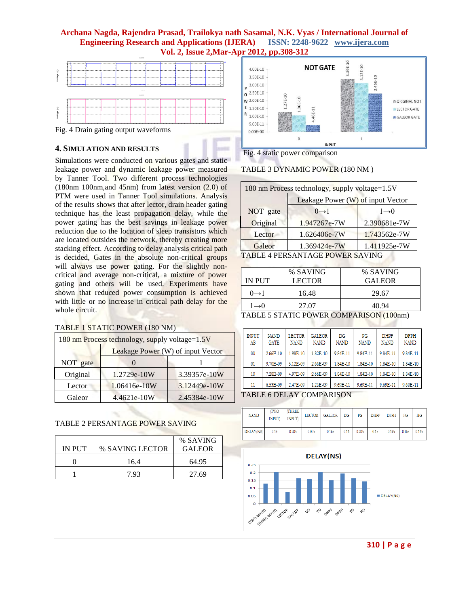### **Archana Nagda, Rajendra Prasad, Trailokya nath Sasamal, N.K. Vyas / International Journal of Engineering Research and Applications (IJERA) ISSN: 2248-9622 www.ijera.com Vol. 2, Issue 2,Mar-Apr 2012, pp.308-312**



Fig. 4 Drain gating output waveforms

### **4. SIMULATION AND RESULTS**

Simulations were conducted on various gates and static leakage power and dynamic leakage power measured by Tanner Tool. Two different process technologies (180nm 100nm,and 45nm) from latest version (2.0) of PTM were used in Tanner Tool simulations. Analysis of the results shows that after lector, drain header gating technique has the least propagation delay, while the power gating has the best savings in leakage power reduction due to the location of sleep transistors which are located outsides the network, thereby creating more stacking effect. According to delay analysis critical path is decided, Gates in the absolute non-critical groups will always use power gating. For the slightly noncritical and average non-critical, a mixture of power gating and others will be used. Experiments have shown that reduced power consumption is achieved with little or no increase in critical path delay for the whole circuit.

### TABLE 1 STATIC POWER (180 NM)

|          | 180 nm Process technology, supply voltage=1.5V |              |  |  |  |  |  |
|----------|------------------------------------------------|--------------|--|--|--|--|--|
|          | Leakage Power (W) of input Vector              |              |  |  |  |  |  |
| NOT gate |                                                |              |  |  |  |  |  |
| Original | 1.2729e-10W                                    | 3.39357e-10W |  |  |  |  |  |
| Lector   | 1.06416e-10W                                   | 3.12449e-10W |  |  |  |  |  |
| Galeor   | 4.4621e-10W                                    | 2.45384e-10W |  |  |  |  |  |

### TABLE 2 PERSANTAGE POWER SAVING

|        |                 | % SAVING      |
|--------|-----------------|---------------|
| IN PUT | % SAVING LECTOR | <b>GALEOR</b> |
|        | 16.4            | 64.95         |
|        | 7.93            | 27.69         |



### Fig. 4 static power comparison

TABLE 3 DYNAMIC POWER (180 NM )

|          | 180 nm Process technology, supply voltage=1.5V |              |  |  |  |  |  |  |  |  |
|----------|------------------------------------------------|--------------|--|--|--|--|--|--|--|--|
|          | Leakage Power (W) of input Vector              |              |  |  |  |  |  |  |  |  |
| NOT gate | $0 \rightarrow 1$<br>$1\rightarrow 0$          |              |  |  |  |  |  |  |  |  |
| Original | 1.947267e-7W                                   | 2.390681e-7W |  |  |  |  |  |  |  |  |
| Lector   | 1.626406e-7W                                   | 1.743562e-7W |  |  |  |  |  |  |  |  |
| Galeor   | 1.369424e-7W                                   | 1.411925e-7W |  |  |  |  |  |  |  |  |
|          | <b>TABLE 4 PERSANTAGE POWER SAVING</b>         |              |  |  |  |  |  |  |  |  |

|                  | % SAVING      | % SAVING                                                          |
|------------------|---------------|-------------------------------------------------------------------|
| <b>IN PUT</b>    | <b>LECTOR</b> | <b>GALEOR</b>                                                     |
| $0\rightarrow 1$ | 16.48         | 29.67                                                             |
| $1\rightarrow 0$ | 27.07         | 40.94                                                             |
|                  |               | $T_{\rm A}$ DI $T_{\rm C}$ con $T_{\rm A}$ DOWED COMPARISONI (100 |

TABLE 5 STATIC POWER COMPARISON (100nm)

| <b>INPUT</b><br>AB | <b>NAND</b><br>GATE      | <b>LECTOR</b><br><b>NAND</b> | <b>GALEOR</b><br>NAND | DG<br><b>NAND</b> | РG<br><b>NAND</b> | <b>DHPF</b><br><b>NAND</b> | <b>DFPH</b><br><b>NAND</b> |  |  |
|--------------------|--------------------------|------------------------------|-----------------------|-------------------|-------------------|----------------------------|----------------------------|--|--|
| 00                 | 2.66E-10                 | 1.98E-10                     | 1.82E-10              | 9.84E-11          | 9.84E-11          | 9.84E-11                   | 9.84E-11                   |  |  |
| 01                 | 9.70E-09                 | 5.12E-09                     | 2.66E-09              | 1.84E-10          | 1.84E-10          | 1.84E-10                   | 1.84E-10                   |  |  |
| 10                 | 7.28E-09                 | 4.97E-09                     | 2.66E-09              | 1.84E-10          | 1.84E-10          | 1.84E-10                   | 1.84E-10                   |  |  |
| 11                 | 6.53E-09                 | 2.47E-09                     | 1.23E-09              | 9.69E-11          | 9.69E-11          | 9.69E-11                   | 9.69E-11                   |  |  |
|                    | TABLE 6 DELAY COMPARISON |                              |                       |                   |                   |                            |                            |  |  |

| <b>NAND</b> | TWO<br><b>INPUT</b> | THREE<br><b>INPUT</b> | <b>LECTOR</b> | <b>GALEOR</b> | DG   | PG    | <b>DHPF</b> | <b>DFPH</b> | FG    | HG    |
|-------------|---------------------|-----------------------|---------------|---------------|------|-------|-------------|-------------|-------|-------|
| DELAY(NS)   | 0.13                | 0.205                 | 0.075         | 0.165         | 0.16 | 0.205 | 0.15        | 0.195       | 0.165 | 0.145 |



**310 | P a g e**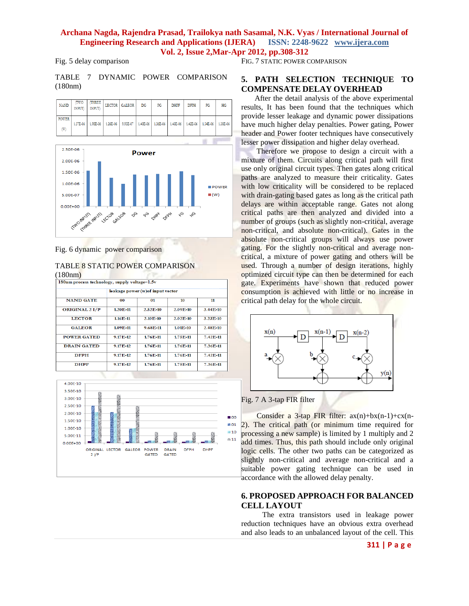### **Archana Nagda, Rajendra Prasad, Trailokya nath Sasamal, N.K. Vyas / International Journal of Engineering Research and Applications (IJERA) ISSN: 2248-9622 www.ijera.com Vol. 2, Issue 2,Mar-Apr 2012, pp.308-312**

Fig. 5 delay comparison

FIG. 7 STATIC POWER COMPARISON

TABLE 7 DYNAMIC POWER COMPARISON (180nm)

| <b>NAND</b>       | <b>TWO</b><br>INPUT | THREE<br><b>INPUT</b> | <b>LECTOR</b> | <b>GALEOR</b> | DG       | PG       | <b>DHPF</b> | <b>DFPH</b> | FG       | HG       |
|-------------------|---------------------|-----------------------|---------------|---------------|----------|----------|-------------|-------------|----------|----------|
| <b>POWER</b><br>W | 1.57E-06            | 1.98E-06              | 1.26E-06      | 9.95E-07      | 1.40E-06 | 1.36E-06 | 1.43E-06    | 1.42E-06    | 1.54E-06 | 1.38E-06 |



Fig. 6 dynamic power comparison

### TABLE 8 STATIC POWER COMPARISON  $(100nm)$

| 180nm process technology, supply voltage=1.5v |                                   |          |            |          |  |  |  |  |  |
|-----------------------------------------------|-----------------------------------|----------|------------|----------|--|--|--|--|--|
|                                               | leakage power (w) of input vector |          |            |          |  |  |  |  |  |
| <b>NAND GATE</b>                              | 0 <sub>0</sub>                    | 01       | 10         | 11       |  |  |  |  |  |
| <b>ORIGINAL 2 I/P</b>                         | 1.20E-11                          | 2.52E-10 | $2.09E-10$ | 3.44E-10 |  |  |  |  |  |
| <b>LECTOR</b>                                 | 1.16E-11                          | 2.10E-10 | 2.02E-10   | 3.23E-10 |  |  |  |  |  |
| <b>GALEOR</b>                                 | 1.09E-11                          | 9.68E-11 | 1.01E-10   | 2.48E-10 |  |  |  |  |  |
| <b>POWER GATED</b>                            | 9.17E-12                          | 1.76E-11 | 1.75E-11   | 7.42E-11 |  |  |  |  |  |
| <b>DRAIN GATED</b>                            | 9.17E-12                          | 1.76E-11 | 1.76E-11   | 7.36E-11 |  |  |  |  |  |
| <b>DFPH</b>                                   | 9.17E-12                          | 1.76E-11 | 1.76E-11   | 7.42E-11 |  |  |  |  |  |
| <b>DHPF</b>                                   | 9.17E-12                          | 1.76E-11 | 1.75E-11   | 7.36E-11 |  |  |  |  |  |



### **5. PATH SELECTION TECHNIQUE TO COMPENSATE DELAY OVERHEAD**

 After the detail analysis of the above experimental results, It has been found that the techniques which provide lesser leakage and dynamic power dissipations have much higher delay penalties. Power gating, Power header and Power footer techniques have consecutively lesser power dissipation and higher delay overhead.

 Therefore we propose to design a circuit with a mixture of them. Circuits along critical path will first use only original circuit types. Then gates along critical paths are analyzed to measure their criticality. Gates with low criticality will be considered to be replaced with drain-gating based gates as long as the critical path delays are within acceptable range. Gates not along critical paths are then analyzed and divided into a number of groups (such as slightly non-critical, average non-critical, and absolute non-critical). Gates in the absolute non-critical groups will always use power gating. For the slightly non-critical and average noncritical, a mixture of power gating and others will be used. Through a number of design iterations, highly optimized circuit type can then be determined for each gate. Experiments have shown that reduced power consumption is achieved with little or no increase in critical path delay for the whole circuit.



### Fig. 7 A 3-tap FIR filter

Consider a 3-tap FIR filter:  $ax(n)+bx(n-1)+cx(n-1)$ 2). The critical path (or minimum time required for processing a new sample) is limited by 1 multiply and 2 add times. Thus, this path should include only original logic cells. The other two paths can be categorized as slightly non-critical and average non-critical and a suitable power gating technique can be used in accordance with the allowed delay penalty.

### **6. PROPOSED APPROACH FOR BALANCED CELL LAYOUT**

 The extra transistors used in leakage power reduction techniques have an obvious extra overhead and also leads to an unbalanced layout of the cell. This

### **311 | P a g e**